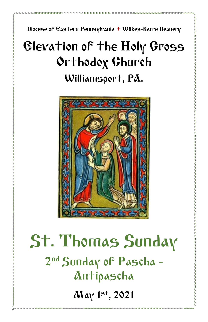Diocese of Eastern Pennsylvania **+** Wilkes-Barre Deanery

# Elevation of the Holy Cross Orthodox Church Williamsport, PA.



# St. Thomas Sunday 2<sup>nd</sup> Sunday of Pascha -Antipascha May 1 st, 2021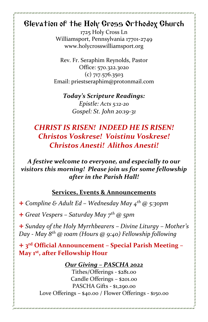### Elevation of the Holy Cross Orthodox Church

1725 Holy Cross Ln Williamsport, Pennsylvania 17701-2749 www.holycrosswilliamsport.org

Rev. Fr. Seraphim Reynolds, Pastor Office: 570.322.3020 (c) 717.576.3503 Email: priestseraphim@protonmail.com

*Today's Scripture Readings: Epistle: Acts 5:12-20 Gospel: St. John 20:19-31*

## *CHRIST IS RISEN! INDEED HE IS RISEN! Christos Voskrese! Voistinu Voskrese! Christos Anesti! Alithos Anesti!*

#### *A festive welcome to everyone, and especially to our visitors this morning! Please join us for some fellowship after in the Parish Hall!*

#### **Services, Events & Announcements**

+ *Compline & Adult Ed – Wednesday May 4 th @ 5:30pm*

+ *Great Vespers – Saturday May 7 th @ 5pm*

+ *Sunday of the Holy Myrrhbearers – Divine Liturgy – Mother's Day - May 8 th @ 10am (Hours @ 9:40) Fellowship following*

+ **3 rd Official Announcement – Special Parish Meeting – May 1st, after Fellowship Hour**

#### *Our Giving – PASCHA 2022*

Tithes/Offerings - \$281.00 Candle Offerings – \$201.00 PASCHA Gifts - \$1,290.00 Love Offerings – \$40.00 / Flower Offerings - \$150.00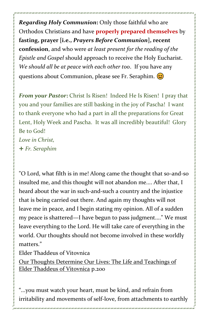*Regarding Holy Communion***:** Only those faithful who are Orthodox Christians and have **properly prepared themselves** by **fasting, prayer [i.e.,** *Prayers Before Communion***], recent confession**, and who were *at least present for the reading of the Epistle and Gospel* should approach to receive the Holy Eucharist. *We should all be at peace with each other too*. If you have any questions about Communion, please see Fr. Seraphim.

*From your Pastor***:** Christ Is Risen! Indeed He Is Risen! I pray that you and your families are still basking in the joy of Pascha! I want to thank everyone who had a part in all the preparations for Great Lent, Holy Week and Pascha. It was all incredibly beautiful! Glory Be to God! *Love in Christ,* + *Fr. Seraphim*

"O Lord, what filth is in me! Along came the thought that so-and-so insulted me, and this thought will not abandon me.... After that, I heard about the war in such-and-such a country and the injustice that is being carried out there. And again my thoughts will not leave me in peace, and I begin stating my opinion. All of a sudden my peace is shattered—I have begun to pass judgment...." We must leave everything to the Lord. He will take care of everything in the world. Our thoughts should not become involved in these worldly matters."

Elder Thaddeus of Vitovnica

Our Thoughts Determine Our Lives: The Life and Teachings of Elder Thaddeus of Vitovnica p.200

"...you must watch your heart, must be kind, and refrain from irritability and movements of self-love, from attachments to earthly